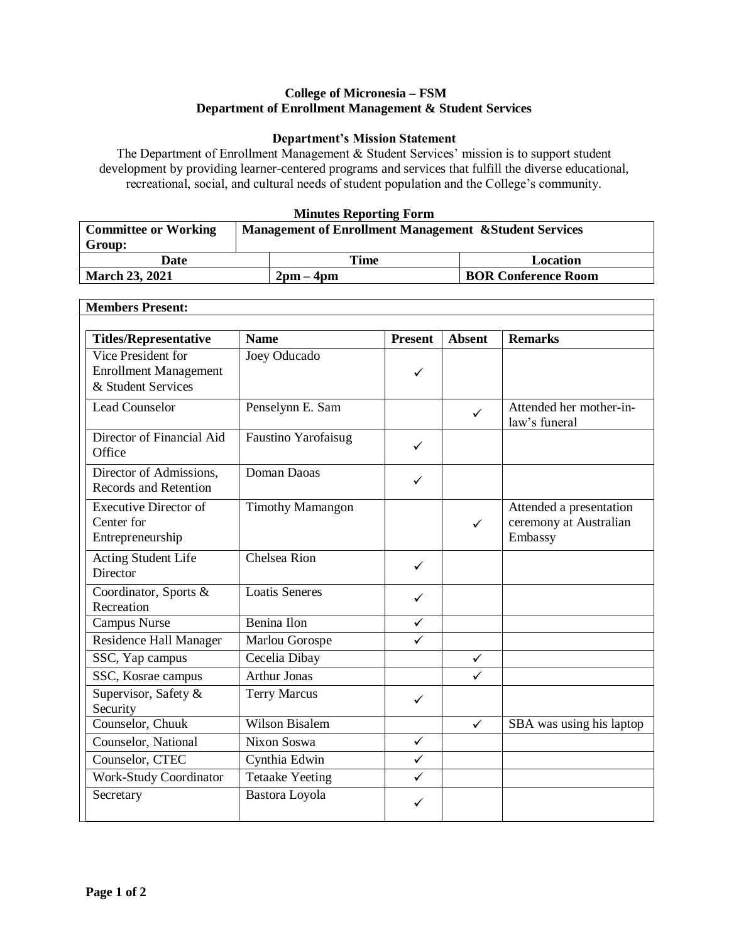### **College of Micronesia – FSM Department of Enrollment Management & Student Services**

#### **Department's Mission Statement**

The Department of Enrollment Management & Student Services' mission is to support student development by providing learner-centered programs and services that fulfill the diverse educational, recreational, social, and cultural needs of student population and the College's community.

### **Minutes Reporting Form**

| <b>Committee or Working</b> | <b>Management of Enrollment Management &amp; Student Services</b> |           |                            |  |  |
|-----------------------------|-------------------------------------------------------------------|-----------|----------------------------|--|--|
| Group:                      |                                                                   |           |                            |  |  |
| Date                        |                                                                   | Time      | Location                   |  |  |
| <b>March 23, 2021</b>       |                                                                   | $2pm-4pm$ | <b>BOR Conference Room</b> |  |  |

٦

| <b>Members Present:</b>                                                  |                         |                |               |                                                              |  |
|--------------------------------------------------------------------------|-------------------------|----------------|---------------|--------------------------------------------------------------|--|
| <b>Titles/Representative</b>                                             | <b>Name</b>             | <b>Present</b> | <b>Absent</b> | <b>Remarks</b>                                               |  |
| Vice President for<br><b>Enrollment Management</b><br>& Student Services | Joey Oducado            | $\checkmark$   |               |                                                              |  |
| <b>Lead Counselor</b>                                                    | Penselynn E. Sam        |                | $\checkmark$  | Attended her mother-in-<br>law's funeral                     |  |
| Director of Financial Aid<br>Office                                      | Faustino Yarofaisug     | ✓              |               |                                                              |  |
| Director of Admissions,<br>Records and Retention                         | Doman Daoas             | $\checkmark$   |               |                                                              |  |
| <b>Executive Director of</b><br>Center for<br>Entrepreneurship           | <b>Timothy Mamangon</b> |                | $\checkmark$  | Attended a presentation<br>ceremony at Australian<br>Embassy |  |
| Acting Student Life<br><b>Director</b>                                   | Chelsea Rion            | $\checkmark$   |               |                                                              |  |
| Coordinator, Sports &<br>Recreation                                      | <b>Loatis Seneres</b>   | ✓              |               |                                                              |  |
| Campus Nurse                                                             | Benina Ilon             | ✓              |               |                                                              |  |
| Residence Hall Manager                                                   | Marlou Gorospe          | ✓              |               |                                                              |  |
| SSC, Yap campus                                                          | Cecelia Dibay           |                | $\checkmark$  |                                                              |  |
| SSC, Kosrae campus                                                       | <b>Arthur Jonas</b>     |                | ✓             |                                                              |  |
| Supervisor, Safety &<br>Security                                         | <b>Terry Marcus</b>     | $\checkmark$   |               |                                                              |  |
| Counselor, Chuuk                                                         | <b>Wilson Bisalem</b>   |                | $\checkmark$  | SBA was using his laptop                                     |  |
| Counselor, National                                                      | Nixon Soswa             | $\checkmark$   |               |                                                              |  |
| Counselor, CTEC                                                          | Cynthia Edwin           | $\checkmark$   |               |                                                              |  |
| Work-Study Coordinator                                                   | <b>Tetaake Yeeting</b>  | $\checkmark$   |               |                                                              |  |
| Secretary                                                                | Bastora Loyola          | ✓              |               |                                                              |  |